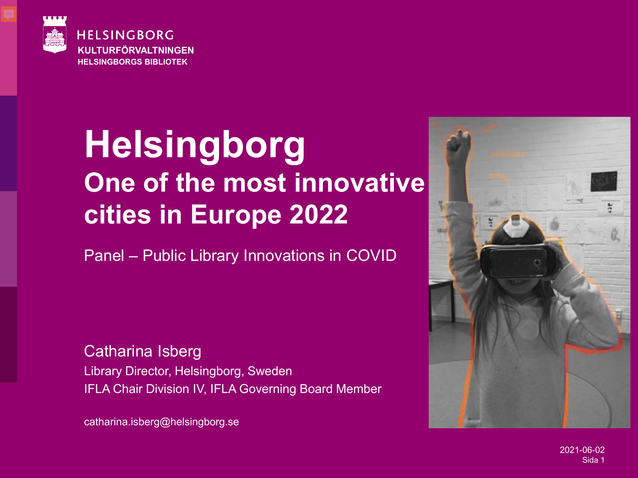

#### **Helsingborg One of the most innovative cities in Europe 2022**

Panel – Public Library Innovations in COVID

Catharina Isberg Library Director, Helsingborg, Sweden IFLA Chair Division IV, IFLA Governing Board Member

catharina.isberg@helsingborg.se



2021-06-02 Sida 1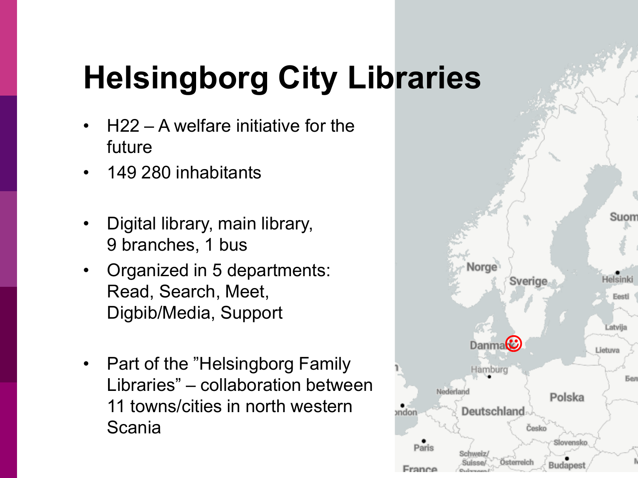## **Helsingborg City Libraries**

- $H22 A$  welfare initiative for the future
- 149 280 inhabitants

- Digital library, main library, 9 branches, 1 bus
- Organized in 5 departments: Read, Search, Meet, Digbib/Media, Support
- Part of the "Helsingborg Family" Libraries" – collaboration between 11 towns/cities in north western Scania

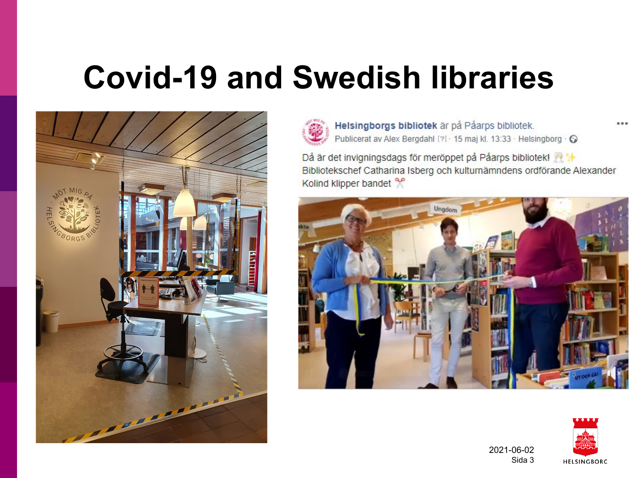#### **Covid-19 and Swedish libraries**



**2021-06-02**



Helsingborgs bibliotek är på Påarps bibliotek. Publicerat av Alex Bergdahl [?] · 15 maj kl. 13:33 · Helsingborg · O

Då är det invigningsdags för meröppet på Påarps bibliotek! Bibliotekschef Catharina Isberg och kulturnämndens ordförande Alexander Kolind klipper bandet %





2021-06-02 Sida 3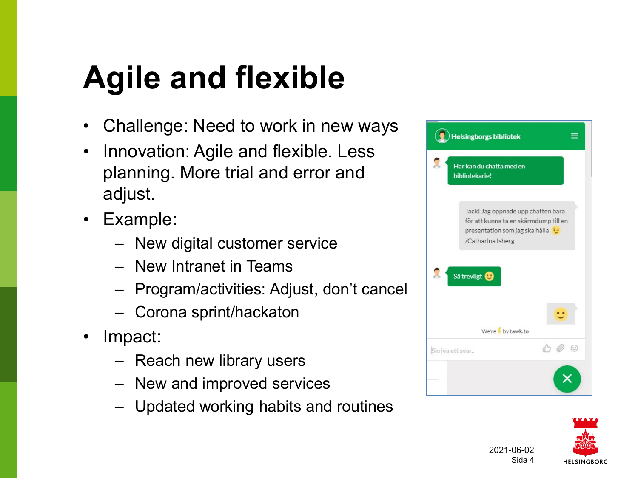## **Agile and flexible**

- Challenge: Need to work in new ways
- Innovation: Agile and flexible. Less planning. More trial and error and adjust.
- Example:
	- New digital customer service
	- New Intranet in Teams
	- Program/activities: Adjust, don't cancel
	- Corona sprint/hackaton
- Impact:

- Reach new library users
- New and improved services
- Updated working habits and routines



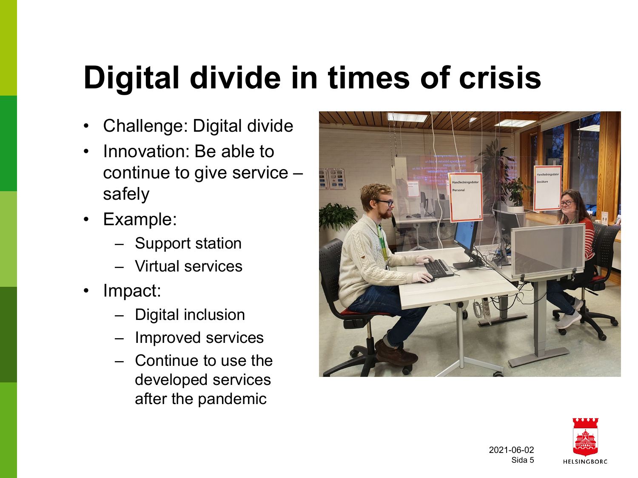#### **Digital divide in times of crisis**

- Challenge: Digital divide
- Innovation: Be able to continue to give service – safely
- Example:
	- Support station
	- Virtual services
- Impact:

- Digital inclusion
- Improved services
- Continue to use the developed services after the pandemic



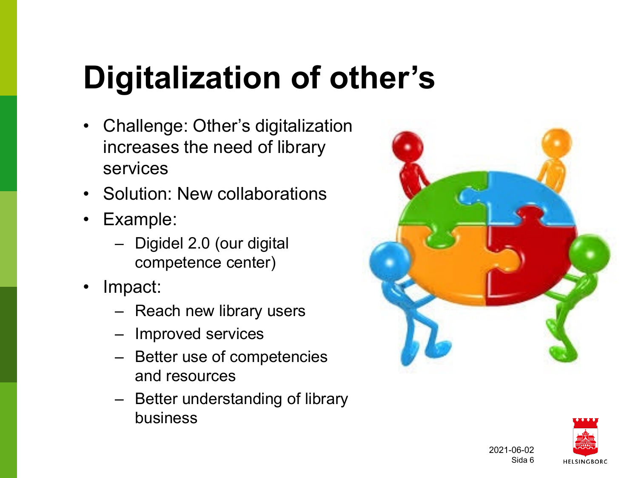## **Digitalization of other's**

- Challenge: Other's digitalization increases the need of library services
- Solution: New collaborations
- Example:
	- Digidel 2.0 (our digital competence center)
- Impact:

- Reach new library users
- Improved services
- Better use of competencies and resources
- Better understanding of library business